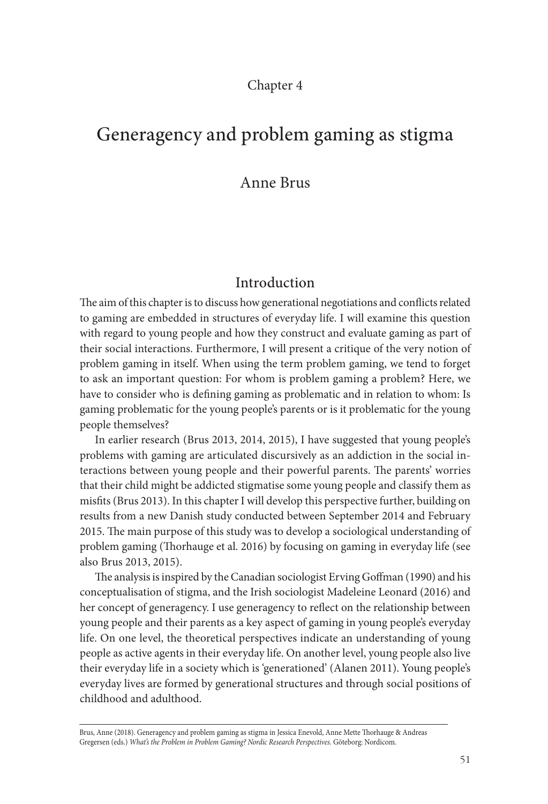#### Chapter 4

# Generagency and problem gaming as stigma

### Anne Brus

### Introduction

The aim of this chapter is to discuss how generational negotiations and conflicts related to gaming are embedded in structures of everyday life. I will examine this question with regard to young people and how they construct and evaluate gaming as part of their social interactions. Furthermore, I will present a critique of the very notion of problem gaming in itself. When using the term problem gaming, we tend to forget to ask an important question: For whom is problem gaming a problem? Here, we have to consider who is defining gaming as problematic and in relation to whom: Is gaming problematic for the young people's parents or is it problematic for the young people themselves?

In earlier research (Brus 2013, 2014, 2015), I have suggested that young people's problems with gaming are articulated discursively as an addiction in the social interactions between young people and their powerful parents. The parents' worries that their child might be addicted stigmatise some young people and classify them as misfits (Brus 2013). In this chapter I will develop this perspective further, building on results from a new Danish study conducted between September 2014 and February 2015. The main purpose of this study was to develop a sociological understanding of problem gaming (Thorhauge et al. 2016) by focusing on gaming in everyday life (see also Brus 2013, 2015).

The analysis is inspired by the Canadian sociologist Erving Goffman (1990) and his conceptualisation of stigma, and the Irish sociologist Madeleine Leonard (2016) and her concept of generagency. I use generagency to reflect on the relationship between young people and their parents as a key aspect of gaming in young people's everyday life. On one level, the theoretical perspectives indicate an understanding of young people as active agents in their everyday life. On another level, young people also live their everyday life in a society which is 'generationed' (Alanen 2011). Young people's everyday lives are formed by generational structures and through social positions of childhood and adulthood.

Brus, Anne (2018). Generagency and problem gaming as stigma in Jessica Enevold, Anne Mette Thorhauge & Andreas Gregersen (eds.) *What's the Problem in Problem Gaming? Nordic Research Perspectives*. Göteborg: Nordicom.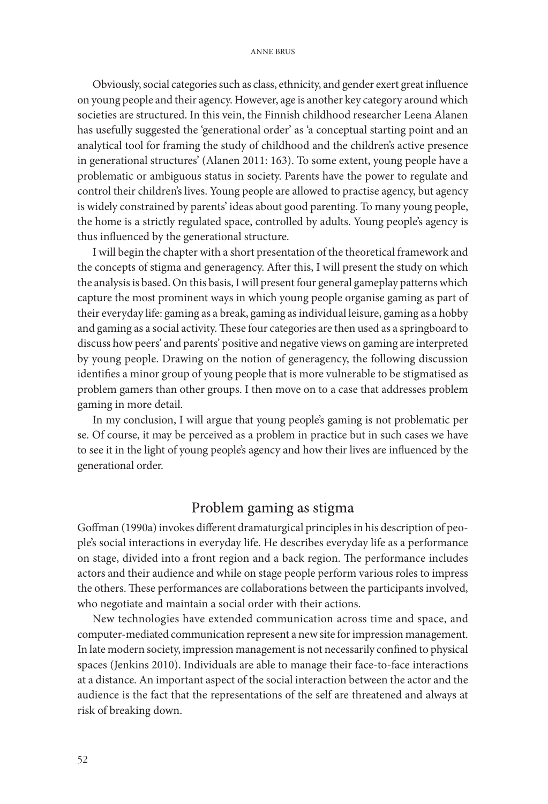Obviously, social categories such as class, ethnicity, and gender exert great influence on young people and their agency. However, age is another key category around which societies are structured. In this vein, the Finnish childhood researcher Leena Alanen has usefully suggested the 'generational order' as 'a conceptual starting point and an analytical tool for framing the study of childhood and the children's active presence in generational structures' (Alanen 2011: 163). To some extent, young people have a problematic or ambiguous status in society. Parents have the power to regulate and control their children's lives. Young people are allowed to practise agency, but agency is widely constrained by parents' ideas about good parenting. To many young people, the home is a strictly regulated space, controlled by adults. Young people's agency is thus influenced by the generational structure.

I will begin the chapter with a short presentation of the theoretical framework and the concepts of stigma and generagency. After this, I will present the study on which the analysis is based. On this basis, I will present four general gameplay patterns which capture the most prominent ways in which young people organise gaming as part of their everyday life: gaming as a break, gaming as individual leisure, gaming as a hobby and gaming as a social activity. These four categories are then used as a springboard to discuss how peers' and parents' positive and negative views on gaming are interpreted by young people. Drawing on the notion of generagency, the following discussion identifies a minor group of young people that is more vulnerable to be stigmatised as problem gamers than other groups. I then move on to a case that addresses problem gaming in more detail.

In my conclusion, I will argue that young people's gaming is not problematic per se. Of course, it may be perceived as a problem in practice but in such cases we have to see it in the light of young people's agency and how their lives are influenced by the generational order.

### Problem gaming as stigma

Goffman (1990a) invokes different dramaturgical principles in his description of people's social interactions in everyday life. He describes everyday life as a performance on stage, divided into a front region and a back region. The performance includes actors and their audience and while on stage people perform various roles to impress the others. These performances are collaborations between the participants involved, who negotiate and maintain a social order with their actions.

New technologies have extended communication across time and space, and computer-mediated communication represent a new site for impression management. In late modern society, impression management is not necessarily confined to physical spaces (Jenkins 2010). Individuals are able to manage their face-to-face interactions at a distance. An important aspect of the social interaction between the actor and the audience is the fact that the representations of the self are threatened and always at risk of breaking down.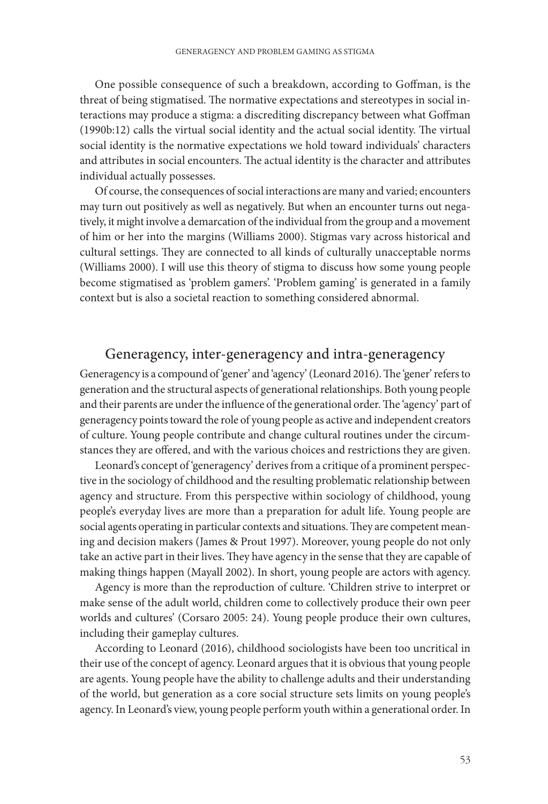One possible consequence of such a breakdown, according to Goffman, is the threat of being stigmatised. The normative expectations and stereotypes in social interactions may produce a stigma: a discrediting discrepancy between what Goffman (1990b:12) calls the virtual social identity and the actual social identity. The virtual social identity is the normative expectations we hold toward individuals' characters and attributes in social encounters. The actual identity is the character and attributes individual actually possesses.

Of course, the consequences of social interactions are many and varied; encounters may turn out positively as well as negatively. But when an encounter turns out negatively, it might involve a demarcation of the individual from the group and a movement of him or her into the margins (Williams 2000). Stigmas vary across historical and cultural settings. They are connected to all kinds of culturally unacceptable norms (Williams 2000). I will use this theory of stigma to discuss how some young people become stigmatised as 'problem gamers'. 'Problem gaming' is generated in a family context but is also a societal reaction to something considered abnormal.

## Generagency, inter-generagency and intra-generagency

Generagency is a compound of 'gener' and 'agency' (Leonard 2016). The 'gener' refers to generation and the structural aspects of generational relationships. Both young people and their parents are under the influence of the generational order. The 'agency' part of generagency points toward the role of young people as active and independent creators of culture. Young people contribute and change cultural routines under the circumstances they are offered, and with the various choices and restrictions they are given.

Leonard's concept of 'generagency' derives from a critique of a prominent perspective in the sociology of childhood and the resulting problematic relationship between agency and structure. From this perspective within sociology of childhood, young people's everyday lives are more than a preparation for adult life. Young people are social agents operating in particular contexts and situations. They are competent meaning and decision makers (James & Prout 1997). Moreover, young people do not only take an active part in their lives. They have agency in the sense that they are capable of making things happen (Mayall 2002). In short, young people are actors with agency.

Agency is more than the reproduction of culture. 'Children strive to interpret or make sense of the adult world, children come to collectively produce their own peer worlds and cultures' (Corsaro 2005: 24). Young people produce their own cultures, including their gameplay cultures.

According to Leonard (2016), childhood sociologists have been too uncritical in their use of the concept of agency. Leonard argues that it is obvious that young people are agents. Young people have the ability to challenge adults and their understanding of the world, but generation as a core social structure sets limits on young people's agency. In Leonard's view, young people perform youth within a generational order. In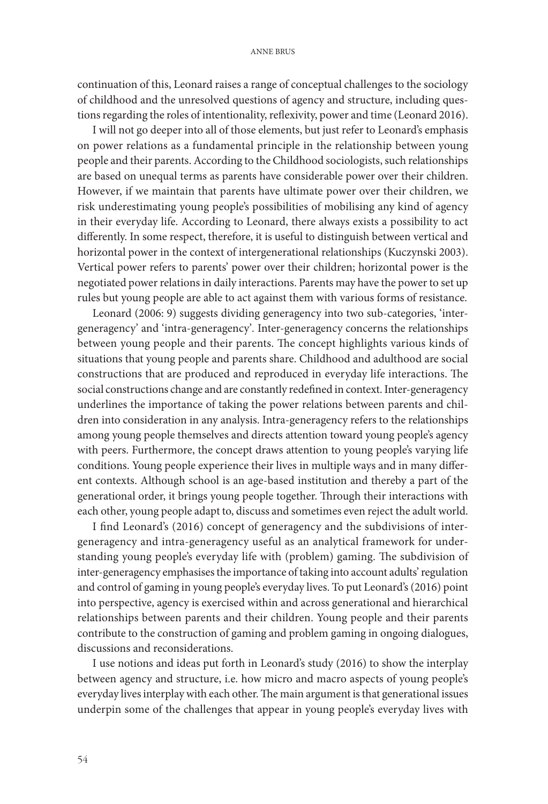continuation of this, Leonard raises a range of conceptual challenges to the sociology of childhood and the unresolved questions of agency and structure, including questions regarding the roles of intentionality, reflexivity, power and time (Leonard 2016).

I will not go deeper into all of those elements, but just refer to Leonard's emphasis on power relations as a fundamental principle in the relationship between young people and their parents. According to the Childhood sociologists, such relationships are based on unequal terms as parents have considerable power over their children. However, if we maintain that parents have ultimate power over their children, we risk underestimating young people's possibilities of mobilising any kind of agency in their everyday life. According to Leonard, there always exists a possibility to act differently. In some respect, therefore, it is useful to distinguish between vertical and horizontal power in the context of intergenerational relationships (Kuczynski 2003). Vertical power refers to parents' power over their children; horizontal power is the negotiated power relations in daily interactions. Parents may have the power to set up rules but young people are able to act against them with various forms of resistance.

Leonard (2006: 9) suggests dividing generagency into two sub-categories, 'intergeneragency' and 'intra-generagency'*.* Inter-generagency concerns the relationships between young people and their parents. The concept highlights various kinds of situations that young people and parents share. Childhood and adulthood are social constructions that are produced and reproduced in everyday life interactions. The social constructions change and are constantly redefined in context. Inter-generagency underlines the importance of taking the power relations between parents and children into consideration in any analysis. Intra-generagency refers to the relationships among young people themselves and directs attention toward young people's agency with peers. Furthermore, the concept draws attention to young people's varying life conditions. Young people experience their lives in multiple ways and in many different contexts. Although school is an age-based institution and thereby a part of the generational order, it brings young people together. Through their interactions with each other, young people adapt to, discuss and sometimes even reject the adult world.

I find Leonard's (2016) concept of generagency and the subdivisions of intergeneragency and intra-generagency useful as an analytical framework for understanding young people's everyday life with (problem) gaming. The subdivision of inter-generagency emphasises the importance of taking into account adults' regulation and control of gaming in young people's everyday lives. To put Leonard's (2016) point into perspective, agency is exercised within and across generational and hierarchical relationships between parents and their children. Young people and their parents contribute to the construction of gaming and problem gaming in ongoing dialogues, discussions and reconsiderations.

I use notions and ideas put forth in Leonard's study (2016) to show the interplay between agency and structure, i.e. how micro and macro aspects of young people's everyday lives interplay with each other. The main argument is that generational issues underpin some of the challenges that appear in young people's everyday lives with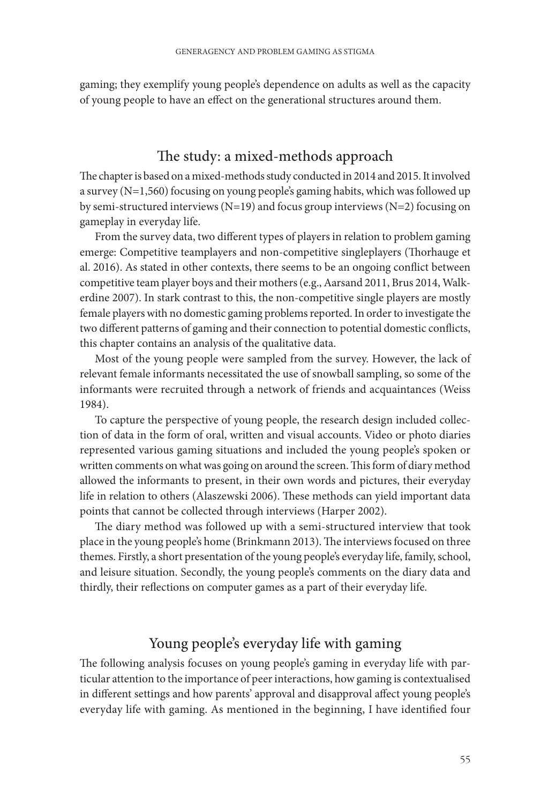gaming; they exemplify young people's dependence on adults as well as the capacity of young people to have an effect on the generational structures around them.

## The study: a mixed-methods approach

The chapter is based on a mixed-methods study conducted in 2014 and 2015. It involved a survey (N=1,560) focusing on young people's gaming habits, which was followed up by semi-structured interviews (N=19) and focus group interviews (N=2) focusing on gameplay in everyday life.

From the survey data, two different types of players in relation to problem gaming emerge: Competitive teamplayers and non-competitive singleplayers (Thorhauge et al. 2016). As stated in other contexts, there seems to be an ongoing conflict between competitive team player boys and their mothers (e.g., Aarsand 2011, Brus 2014, Walkerdine 2007). In stark contrast to this, the non-competitive single players are mostly female players with no domestic gaming problems reported. In order to investigate the two different patterns of gaming and their connection to potential domestic conflicts, this chapter contains an analysis of the qualitative data.

Most of the young people were sampled from the survey. However, the lack of relevant female informants necessitated the use of snowball sampling, so some of the informants were recruited through a network of friends and acquaintances (Weiss 1984).

To capture the perspective of young people, the research design included collection of data in the form of oral, written and visual accounts. Video or photo diaries represented various gaming situations and included the young people's spoken or written comments on what was going on around the screen. This form of diary method allowed the informants to present, in their own words and pictures, their everyday life in relation to others (Alaszewski 2006). These methods can yield important data points that cannot be collected through interviews (Harper 2002).

The diary method was followed up with a semi-structured interview that took place in the young people's home (Brinkmann 2013). The interviews focused on three themes. Firstly, a short presentation of the young people's everyday life, family, school, and leisure situation. Secondly, the young people's comments on the diary data and thirdly, their reflections on computer games as a part of their everyday life.

## Young people's everyday life with gaming

The following analysis focuses on young people's gaming in everyday life with particular attention to the importance of peer interactions, how gaming is contextualised in different settings and how parents' approval and disapproval affect young people's everyday life with gaming. As mentioned in the beginning, I have identified four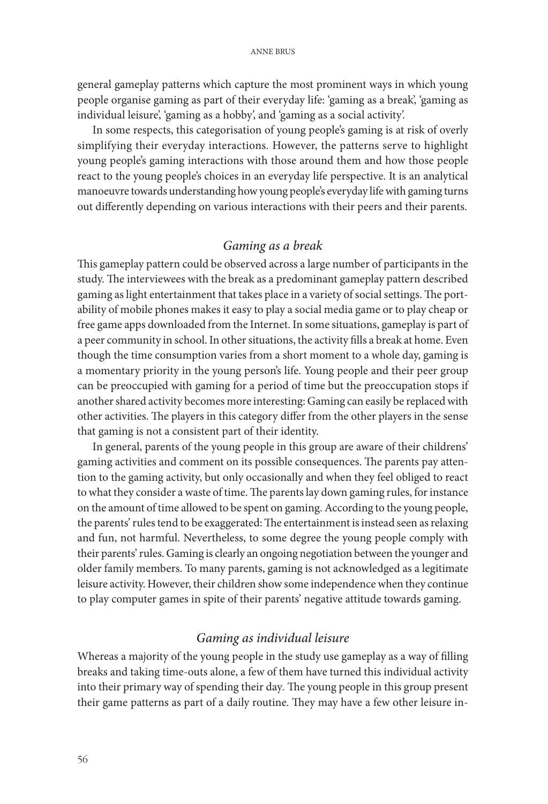general gameplay patterns which capture the most prominent ways in which young people organise gaming as part of their everyday life: 'gaming as a break', 'gaming as individual leisure', 'gaming as a hobby', and 'gaming as a social activity'.

In some respects, this categorisation of young people's gaming is at risk of overly simplifying their everyday interactions. However, the patterns serve to highlight young people's gaming interactions with those around them and how those people react to the young people's choices in an everyday life perspective. It is an analytical manoeuvre towards understanding how young people's everyday life with gaming turns out differently depending on various interactions with their peers and their parents.

### *Gaming as a break*

This gameplay pattern could be observed across a large number of participants in the study. The interviewees with the break as a predominant gameplay pattern described gaming as light entertainment that takes place in a variety of social settings. The portability of mobile phones makes it easy to play a social media game or to play cheap or free game apps downloaded from the Internet. In some situations, gameplay is part of a peer community in school. In other situations, the activity fills a break at home. Even though the time consumption varies from a short moment to a whole day, gaming is a momentary priority in the young person's life. Young people and their peer group can be preoccupied with gaming for a period of time but the preoccupation stops if another shared activity becomes more interesting: Gaming can easily be replaced with other activities. The players in this category differ from the other players in the sense that gaming is not a consistent part of their identity.

In general, parents of the young people in this group are aware of their childrens' gaming activities and comment on its possible consequences. The parents pay attention to the gaming activity, but only occasionally and when they feel obliged to react to what they consider a waste of time. The parents lay down gaming rules, for instance on the amount of time allowed to be spent on gaming. According to the young people, the parents' rules tend to be exaggerated: The entertainment is instead seen as relaxing and fun, not harmful. Nevertheless, to some degree the young people comply with their parents' rules. Gaming is clearly an ongoing negotiation between the younger and older family members. To many parents, gaming is not acknowledged as a legitimate leisure activity. However, their children show some independence when they continue to play computer games in spite of their parents' negative attitude towards gaming.

#### *Gaming as individual leisure*

Whereas a majority of the young people in the study use gameplay as a way of filling breaks and taking time-outs alone, a few of them have turned this individual activity into their primary way of spending their day*.* The young people in this group present their game patterns as part of a daily routine. They may have a few other leisure in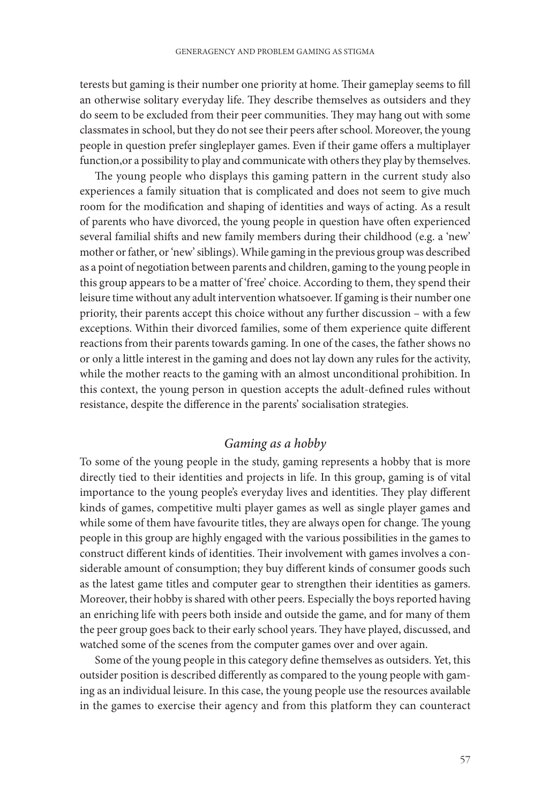terests but gaming is their number one priority at home. Their gameplay seems to fill an otherwise solitary everyday life. They describe themselves as outsiders and they do seem to be excluded from their peer communities. They may hang out with some classmates in school, but they do not see their peers after school. Moreover, the young people in question prefer singleplayer games. Even if their game offers a multiplayer function,or a possibility to play and communicate with others they play by themselves.

The young people who displays this gaming pattern in the current study also experiences a family situation that is complicated and does not seem to give much room for the modification and shaping of identities and ways of acting. As a result of parents who have divorced, the young people in question have often experienced several familial shifts and new family members during their childhood (e.g. a 'new' mother or father, or 'new' siblings). While gaming in the previous group was described as a point of negotiation between parents and children, gaming to the young people in this group appears to be a matter of 'free' choice. According to them, they spend their leisure time without any adult intervention whatsoever. If gaming is their number one priority, their parents accept this choice without any further discussion – with a few exceptions. Within their divorced families, some of them experience quite different reactions from their parents towards gaming. In one of the cases, the father shows no or only a little interest in the gaming and does not lay down any rules for the activity, while the mother reacts to the gaming with an almost unconditional prohibition. In this context, the young person in question accepts the adult-defined rules without resistance, despite the difference in the parents' socialisation strategies.

### *Gaming as a hobby*

To some of the young people in the study, gaming represents a hobby that is more directly tied to their identities and projects in life. In this group, gaming is of vital importance to the young people's everyday lives and identities. They play different kinds of games, competitive multi player games as well as single player games and while some of them have favourite titles, they are always open for change. The young people in this group are highly engaged with the various possibilities in the games to construct different kinds of identities. Their involvement with games involves a considerable amount of consumption; they buy different kinds of consumer goods such as the latest game titles and computer gear to strengthen their identities as gamers. Moreover, their hobby is shared with other peers. Especially the boys reported having an enriching life with peers both inside and outside the game, and for many of them the peer group goes back to their early school years. They have played, discussed, and watched some of the scenes from the computer games over and over again.

Some of the young people in this category define themselves as outsiders. Yet, this outsider position is described differently as compared to the young people with gaming as an individual leisure. In this case, the young people use the resources available in the games to exercise their agency and from this platform they can counteract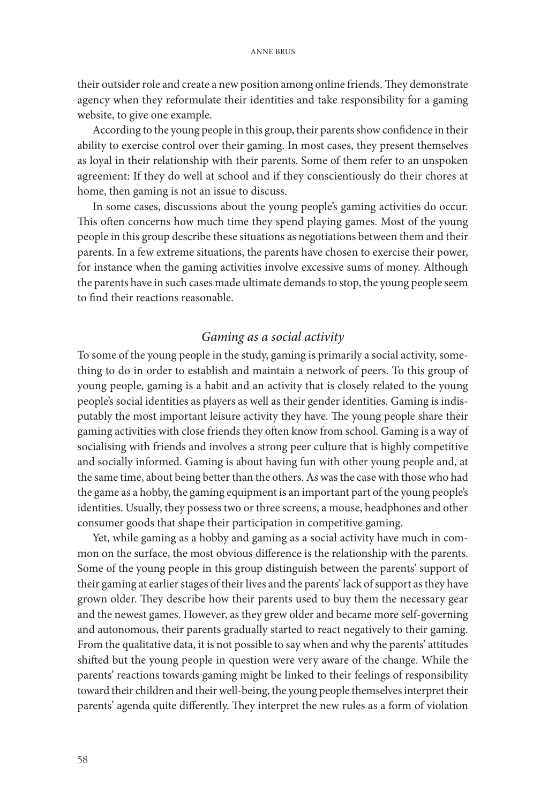their outsider role and create a new position among online friends. They demonstrate agency when they reformulate their identities and take responsibility for a gaming website, to give one example.

According to the young people in this group, their parents show confidence in their ability to exercise control over their gaming. In most cases, they present themselves as loyal in their relationship with their parents. Some of them refer to an unspoken agreement: If they do well at school and if they conscientiously do their chores at home, then gaming is not an issue to discuss.

In some cases, discussions about the young people's gaming activities do occur. This often concerns how much time they spend playing games. Most of the young people in this group describe these situations as negotiations between them and their parents. In a few extreme situations, the parents have chosen to exercise their power, for instance when the gaming activities involve excessive sums of money. Although the parents have in such cases made ultimate demands to stop, the young people seem to find their reactions reasonable.

#### *Gaming as a social activity*

To some of the young people in the study, gaming is primarily a social activity, something to do in order to establish and maintain a network of peers. To this group of young people, gaming is a habit and an activity that is closely related to the young people's social identities as players as well as their gender identities. Gaming is indisputably the most important leisure activity they have. The young people share their gaming activities with close friends they often know from school. Gaming is a way of socialising with friends and involves a strong peer culture that is highly competitive and socially informed. Gaming is about having fun with other young people and, at the same time, about being better than the others. As was the case with those who had the game as a hobby, the gaming equipment is an important part of the young people's identities. Usually, they possess two or three screens, a mouse, headphones and other consumer goods that shape their participation in competitive gaming.

Yet, while gaming as a hobby and gaming as a social activity have much in common on the surface, the most obvious difference is the relationship with the parents. Some of the young people in this group distinguish between the parents' support of their gaming at earlier stages of their lives and the parents' lack of support as they have grown older. They describe how their parents used to buy them the necessary gear and the newest games. However, as they grew older and became more self-governing and autonomous, their parents gradually started to react negatively to their gaming. From the qualitative data, it is not possible to say when and why the parents' attitudes shifted but the young people in question were very aware of the change. While the parents' reactions towards gaming might be linked to their feelings of responsibility toward their children and their well-being, the young people themselves interpret their parents' agenda quite differently. They interpret the new rules as a form of violation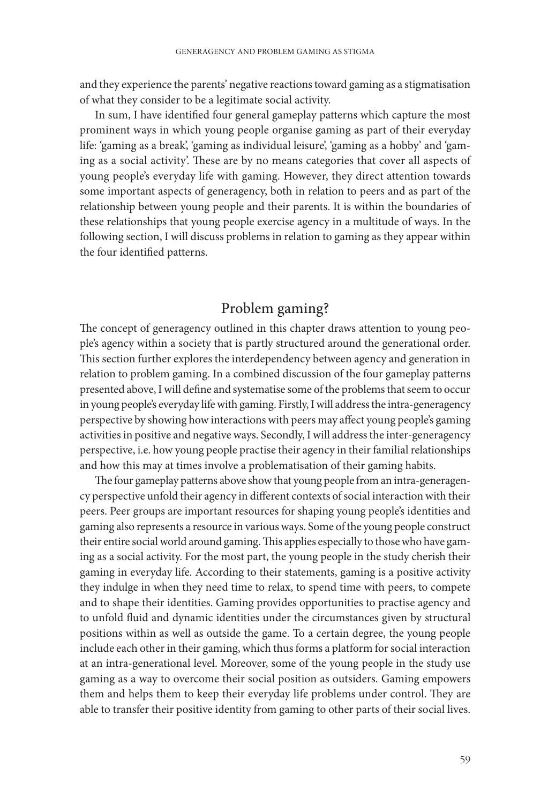and they experience the parents' negative reactions toward gaming as a stigmatisation of what they consider to be a legitimate social activity.

In sum, I have identified four general gameplay patterns which capture the most prominent ways in which young people organise gaming as part of their everyday life: 'gaming as a break', 'gaming as individual leisure', 'gaming as a hobby' and 'gaming as a social activity'. These are by no means categories that cover all aspects of young people's everyday life with gaming. However, they direct attention towards some important aspects of generagency, both in relation to peers and as part of the relationship between young people and their parents. It is within the boundaries of these relationships that young people exercise agency in a multitude of ways. In the following section, I will discuss problems in relation to gaming as they appear within the four identified patterns.

## Problem gaming?

The concept of generagency outlined in this chapter draws attention to young people's agency within a society that is partly structured around the generational order. This section further explores the interdependency between agency and generation in relation to problem gaming. In a combined discussion of the four gameplay patterns presented above, I will define and systematise some of the problems that seem to occur in young people's everyday life with gaming. Firstly, I will address the intra-generagency perspective by showing how interactions with peers may affect young people's gaming activities in positive and negative ways. Secondly, I will address the inter-generagency perspective, i.e. how young people practise their agency in their familial relationships and how this may at times involve a problematisation of their gaming habits.

The four gameplay patterns above show that young people from an intra-generagency perspective unfold their agency in different contexts of social interaction with their peers. Peer groups are important resources for shaping young people's identities and gaming also represents a resource in various ways. Some of the young people construct their entire social world around gaming. This applies especially to those who have gaming as a social activity. For the most part, the young people in the study cherish their gaming in everyday life. According to their statements, gaming is a positive activity they indulge in when they need time to relax, to spend time with peers, to compete and to shape their identities. Gaming provides opportunities to practise agency and to unfold fluid and dynamic identities under the circumstances given by structural positions within as well as outside the game. To a certain degree, the young people include each other in their gaming, which thus forms a platform for social interaction at an intra-generational level. Moreover, some of the young people in the study use gaming as a way to overcome their social position as outsiders. Gaming empowers them and helps them to keep their everyday life problems under control. They are able to transfer their positive identity from gaming to other parts of their social lives.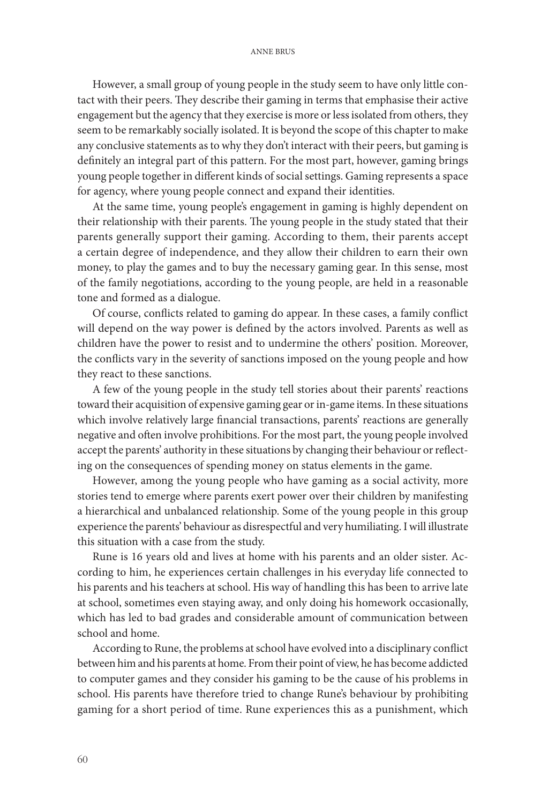#### ANNE BRUS

However, a small group of young people in the study seem to have only little contact with their peers. They describe their gaming in terms that emphasise their active engagement but the agency that they exercise is more or less isolated from others, they seem to be remarkably socially isolated. It is beyond the scope of this chapter to make any conclusive statements as to why they don't interact with their peers, but gaming is definitely an integral part of this pattern. For the most part, however, gaming brings young people together in different kinds of social settings. Gaming represents a space for agency, where young people connect and expand their identities.

At the same time, young people's engagement in gaming is highly dependent on their relationship with their parents. The young people in the study stated that their parents generally support their gaming. According to them, their parents accept a certain degree of independence, and they allow their children to earn their own money, to play the games and to buy the necessary gaming gear. In this sense, most of the family negotiations, according to the young people, are held in a reasonable tone and formed as a dialogue.

Of course, conflicts related to gaming do appear. In these cases, a family conflict will depend on the way power is defined by the actors involved. Parents as well as children have the power to resist and to undermine the others' position. Moreover, the conflicts vary in the severity of sanctions imposed on the young people and how they react to these sanctions.

A few of the young people in the study tell stories about their parents' reactions toward their acquisition of expensive gaming gear or in-game items. In these situations which involve relatively large financial transactions, parents' reactions are generally negative and often involve prohibitions. For the most part, the young people involved accept the parents' authority in these situations by changing their behaviour or reflecting on the consequences of spending money on status elements in the game.

However, among the young people who have gaming as a social activity, more stories tend to emerge where parents exert power over their children by manifesting a hierarchical and unbalanced relationship. Some of the young people in this group experience the parents' behaviour as disrespectful and very humiliating. I will illustrate this situation with a case from the study.

Rune is 16 years old and lives at home with his parents and an older sister. According to him, he experiences certain challenges in his everyday life connected to his parents and his teachers at school. His way of handling this has been to arrive late at school, sometimes even staying away, and only doing his homework occasionally, which has led to bad grades and considerable amount of communication between school and home.

According to Rune, the problems at school have evolved into a disciplinary conflict between him and his parents at home. From their point of view, he has become addicted to computer games and they consider his gaming to be the cause of his problems in school. His parents have therefore tried to change Rune's behaviour by prohibiting gaming for a short period of time. Rune experiences this as a punishment, which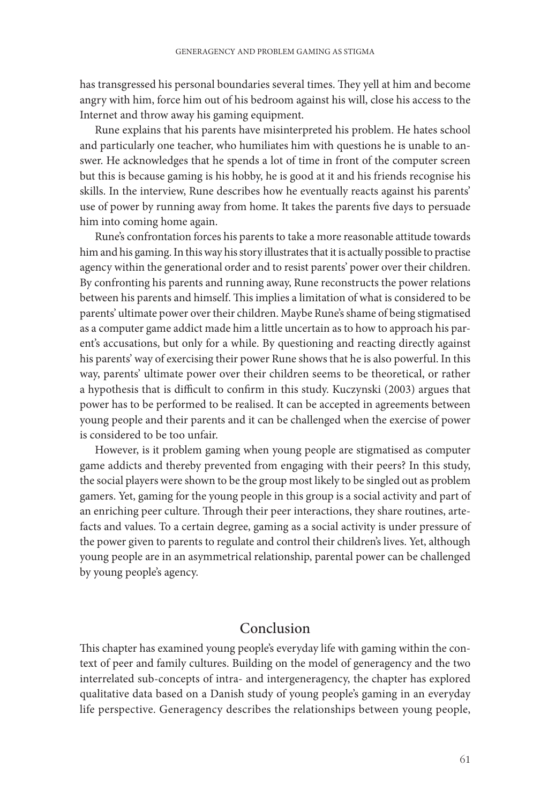has transgressed his personal boundaries several times. They yell at him and become angry with him, force him out of his bedroom against his will, close his access to the Internet and throw away his gaming equipment.

Rune explains that his parents have misinterpreted his problem. He hates school and particularly one teacher, who humiliates him with questions he is unable to answer. He acknowledges that he spends a lot of time in front of the computer screen but this is because gaming is his hobby, he is good at it and his friends recognise his skills. In the interview, Rune describes how he eventually reacts against his parents' use of power by running away from home. It takes the parents five days to persuade him into coming home again.

Rune's confrontation forces his parents to take a more reasonable attitude towards him and his gaming. In this way his story illustrates that it is actually possible to practise agency within the generational order and to resist parents' power over their children. By confronting his parents and running away, Rune reconstructs the power relations between his parents and himself. This implies a limitation of what is considered to be parents' ultimate power over their children. Maybe Rune's shame of being stigmatised as a computer game addict made him a little uncertain as to how to approach his parent's accusations, but only for a while. By questioning and reacting directly against his parents' way of exercising their power Rune shows that he is also powerful. In this way, parents' ultimate power over their children seems to be theoretical, or rather a hypothesis that is difficult to confirm in this study. Kuczynski (2003) argues that power has to be performed to be realised. It can be accepted in agreements between young people and their parents and it can be challenged when the exercise of power is considered to be too unfair.

However, is it problem gaming when young people are stigmatised as computer game addicts and thereby prevented from engaging with their peers? In this study, the social players were shown to be the group most likely to be singled out as problem gamers. Yet, gaming for the young people in this group is a social activity and part of an enriching peer culture. Through their peer interactions, they share routines, artefacts and values. To a certain degree, gaming as a social activity is under pressure of the power given to parents to regulate and control their children's lives. Yet, although young people are in an asymmetrical relationship, parental power can be challenged by young people's agency.

### Conclusion

This chapter has examined young people's everyday life with gaming within the context of peer and family cultures. Building on the model of generagency and the two interrelated sub-concepts of intra- and intergeneragency, the chapter has explored qualitative data based on a Danish study of young people's gaming in an everyday life perspective. Generagency describes the relationships between young people,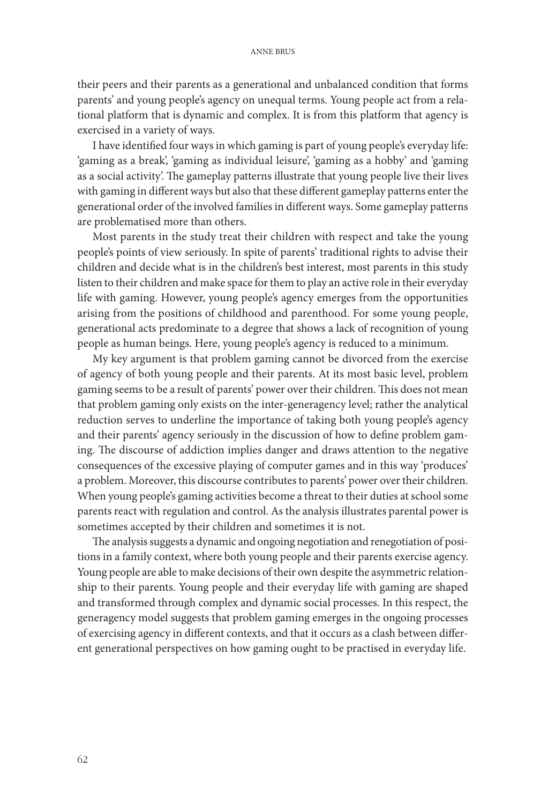#### ANNE BRUS

their peers and their parents as a generational and unbalanced condition that forms parents' and young people's agency on unequal terms. Young people act from a relational platform that is dynamic and complex. It is from this platform that agency is exercised in a variety of ways.

I have identified four ways in which gaming is part of young people's everyday life: 'gaming as a break', 'gaming as individual leisure', 'gaming as a hobby' and 'gaming as a social activity'. The gameplay patterns illustrate that young people live their lives with gaming in different ways but also that these different gameplay patterns enter the generational order of the involved families in different ways. Some gameplay patterns are problematised more than others.

Most parents in the study treat their children with respect and take the young people's points of view seriously. In spite of parents' traditional rights to advise their children and decide what is in the children's best interest, most parents in this study listen to their children and make space for them to play an active role in their everyday life with gaming. However, young people's agency emerges from the opportunities arising from the positions of childhood and parenthood. For some young people, generational acts predominate to a degree that shows a lack of recognition of young people as human beings. Here, young people's agency is reduced to a minimum.

My key argument is that problem gaming cannot be divorced from the exercise of agency of both young people and their parents. At its most basic level, problem gaming seems to be a result of parents' power over their children. This does not mean that problem gaming only exists on the inter-generagency level; rather the analytical reduction serves to underline the importance of taking both young people's agency and their parents' agency seriously in the discussion of how to define problem gaming. The discourse of addiction implies danger and draws attention to the negative consequences of the excessive playing of computer games and in this way 'produces' a problem. Moreover, this discourse contributes to parents' power over their children. When young people's gaming activities become a threat to their duties at school some parents react with regulation and control. As the analysis illustrates parental power is sometimes accepted by their children and sometimes it is not.

The analysis suggests a dynamic and ongoing negotiation and renegotiation of positions in a family context, where both young people and their parents exercise agency. Young people are able to make decisions of their own despite the asymmetric relationship to their parents. Young people and their everyday life with gaming are shaped and transformed through complex and dynamic social processes. In this respect, the generagency model suggests that problem gaming emerges in the ongoing processes of exercising agency in different contexts, and that it occurs as a clash between different generational perspectives on how gaming ought to be practised in everyday life.